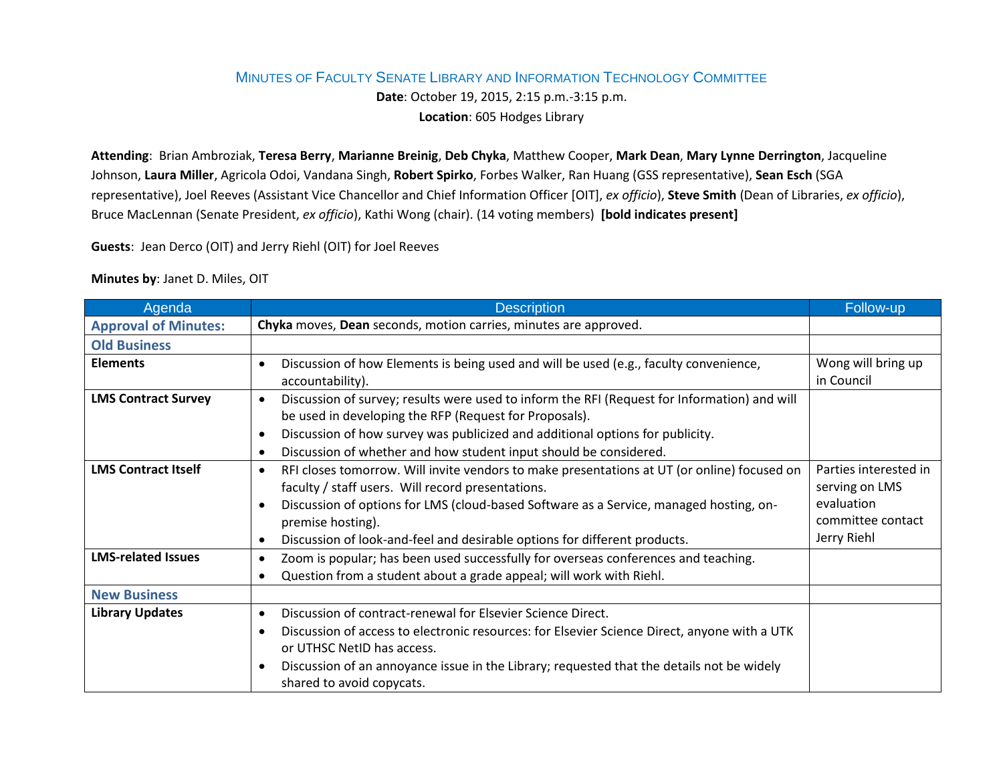## MINUTES OF FACULTY SENATE LIBRARY AND INFORMATION TECHNOLOGY COMMITTEE

**Date**: October 19, 2015, 2:15 p.m.-3:15 p.m.

**Location**: 605 Hodges Library

**Attending**: Brian Ambroziak, **Teresa Berry**, **Marianne Breinig**, **Deb Chyka**, Matthew Cooper, **Mark Dean**, **Mary Lynne Derrington**, Jacqueline Johnson, **Laura Miller**, Agricola Odoi, Vandana Singh, **Robert Spirko**, Forbes Walker, Ran Huang (GSS representative), **Sean Esch** (SGA representative), Joel Reeves (Assistant Vice Chancellor and Chief Information Officer [OIT], *ex officio*), **Steve Smith** (Dean of Libraries, *ex officio*), Bruce MacLennan (Senate President, *ex officio*), Kathi Wong (chair). (14 voting members) **[bold indicates present]**

**Guests**: Jean Derco (OIT) and Jerry Riehl (OIT) for Joel Reeves

## **Minutes by**: Janet D. Miles, OIT

| Agenda                      | <b>Description</b>                                                                                                                                                                                                                                                                                                                                                                  | Follow-up                                                                                 |
|-----------------------------|-------------------------------------------------------------------------------------------------------------------------------------------------------------------------------------------------------------------------------------------------------------------------------------------------------------------------------------------------------------------------------------|-------------------------------------------------------------------------------------------|
| <b>Approval of Minutes:</b> | Chyka moves, Dean seconds, motion carries, minutes are approved.                                                                                                                                                                                                                                                                                                                    |                                                                                           |
| <b>Old Business</b>         |                                                                                                                                                                                                                                                                                                                                                                                     |                                                                                           |
| <b>Elements</b>             | Discussion of how Elements is being used and will be used (e.g., faculty convenience,<br>$\bullet$<br>accountability).                                                                                                                                                                                                                                                              | Wong will bring up<br>in Council                                                          |
| <b>LMS Contract Survey</b>  | Discussion of survey; results were used to inform the RFI (Request for Information) and will<br>$\bullet$<br>be used in developing the RFP (Request for Proposals).<br>Discussion of how survey was publicized and additional options for publicity.<br>$\bullet$<br>Discussion of whether and how student input should be considered.<br>$\bullet$                                 |                                                                                           |
| <b>LMS Contract Itself</b>  | RFI closes tomorrow. Will invite vendors to make presentations at UT (or online) focused on<br>$\bullet$<br>faculty / staff users. Will record presentations.<br>Discussion of options for LMS (cloud-based Software as a Service, managed hosting, on-<br>$\bullet$<br>premise hosting).<br>Discussion of look-and-feel and desirable options for different products.<br>$\bullet$ | Parties interested in<br>serving on LMS<br>evaluation<br>committee contact<br>Jerry Riehl |
| <b>LMS-related Issues</b>   | Zoom is popular; has been used successfully for overseas conferences and teaching.<br>$\bullet$<br>Question from a student about a grade appeal; will work with Riehl.<br>$\bullet$                                                                                                                                                                                                 |                                                                                           |
| <b>New Business</b>         |                                                                                                                                                                                                                                                                                                                                                                                     |                                                                                           |
| <b>Library Updates</b>      | Discussion of contract-renewal for Elsevier Science Direct.<br>$\bullet$<br>Discussion of access to electronic resources: for Elsevier Science Direct, anyone with a UTK<br>$\bullet$<br>or UTHSC NetID has access.<br>Discussion of an annoyance issue in the Library; requested that the details not be widely<br>$\bullet$<br>shared to avoid copycats.                          |                                                                                           |